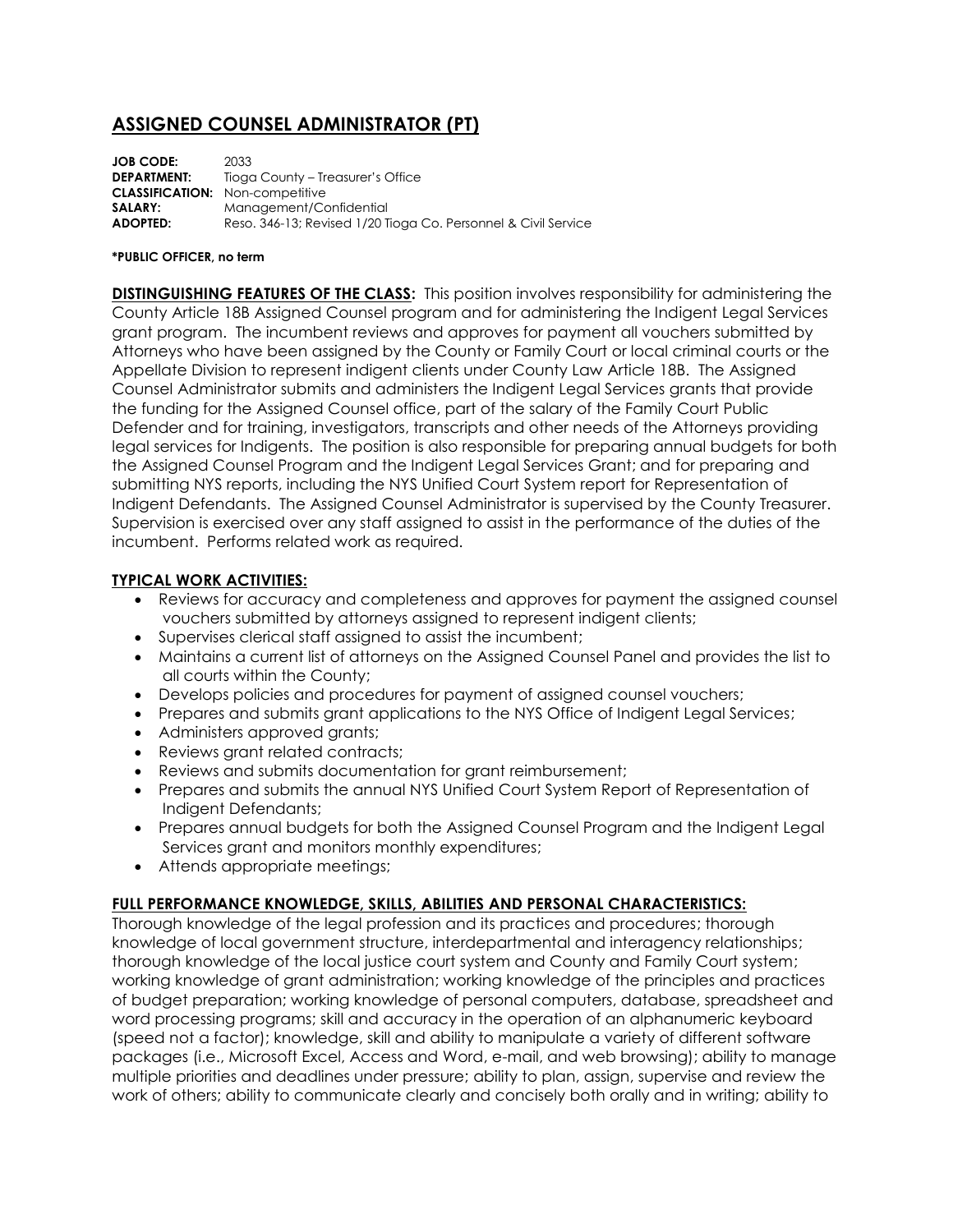# **ASSIGNED COUNSEL ADMINISTRATOR (PT)**

| <b>JOB CODE:</b>   | 2033                                                           |
|--------------------|----------------------------------------------------------------|
| <b>DEPARTMENT:</b> | Tioga County – Treasurer's Office                              |
|                    | <b>CLASSIFICATION:</b> Non-competitive                         |
| SALARY:            | Management/Confidential                                        |
| ADOPTED:           | Reso, 346-13; Revised 1/20 Tioga Co. Personnel & Civil Service |

#### **\*PUBLIC OFFICER, no term**

**DISTINGUISHING FEATURES OF THE CLASS:** This position involves responsibility for administering the County Article 18B Assigned Counsel program and for administering the Indigent Legal Services grant program. The incumbent reviews and approves for payment all vouchers submitted by Attorneys who have been assigned by the County or Family Court or local criminal courts or the Appellate Division to represent indigent clients under County Law Article 18B. The Assigned Counsel Administrator submits and administers the Indigent Legal Services grants that provide the funding for the Assigned Counsel office, part of the salary of the Family Court Public Defender and for training, investigators, transcripts and other needs of the Attorneys providing legal services for Indigents. The position is also responsible for preparing annual budgets for both the Assigned Counsel Program and the Indigent Legal Services Grant; and for preparing and submitting NYS reports, including the NYS Unified Court System report for Representation of Indigent Defendants. The Assigned Counsel Administrator is supervised by the County Treasurer. Supervision is exercised over any staff assigned to assist in the performance of the duties of the incumbent. Performs related work as required.

### **TYPICAL WORK ACTIVITIES:**

- Reviews for accuracy and completeness and approves for payment the assigned counsel vouchers submitted by attorneys assigned to represent indigent clients;
- Supervises clerical staff assigned to assist the incumbent;
- Maintains a current list of attorneys on the Assigned Counsel Panel and provides the list to all courts within the County;
- Develops policies and procedures for payment of assigned counsel vouchers;
- Prepares and submits grant applications to the NYS Office of Indigent Legal Services;
- Administers approved grants;
- Reviews grant related contracts;
- Reviews and submits documentation for grant reimbursement;
- Prepares and submits the annual NYS Unified Court System Report of Representation of Indigent Defendants;
- Prepares annual budgets for both the Assigned Counsel Program and the Indigent Legal Services grant and monitors monthly expenditures;
- Attends appropriate meetings;

# **FULL PERFORMANCE KNOWLEDGE, SKILLS, ABILITIES AND PERSONAL CHARACTERISTICS:**

Thorough knowledge of the legal profession and its practices and procedures; thorough knowledge of local government structure, interdepartmental and interagency relationships; thorough knowledge of the local justice court system and County and Family Court system; working knowledge of grant administration; working knowledge of the principles and practices of budget preparation; working knowledge of personal computers, database, spreadsheet and word processing programs; skill and accuracy in the operation of an alphanumeric keyboard (speed not a factor); knowledge, skill and ability to manipulate a variety of different software packages (i.e., Microsoft Excel, Access and Word, e-mail, and web browsing); ability to manage multiple priorities and deadlines under pressure; ability to plan, assign, supervise and review the work of others; ability to communicate clearly and concisely both orally and in writing; ability to